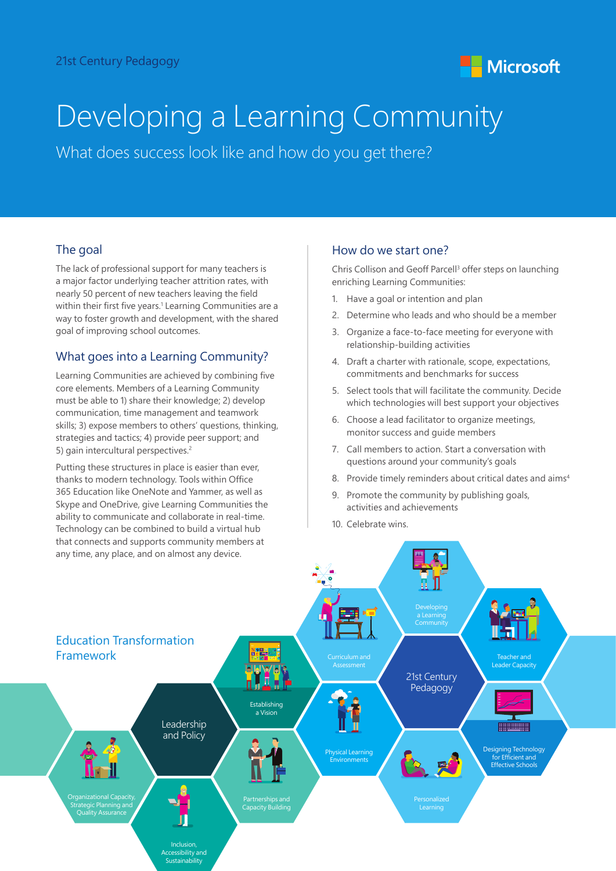

# Developing a Learning Community

What does success look like and how do you get there?

## The goal

The lack of professional support for many teachers is a major factor underlying teacher attrition rates, with nearly 50 percent of new teachers leaving the field within their first five years.<sup>1</sup> Learning Communities are a way to foster growth and development, with the shared goal of improving school outcomes.

## What goes into a Learning Community?

Learning Communities are achieved by combining five core elements. Members of a Learning Community must be able to 1) share their knowledge; 2) develop communication, time management and teamwork skills; 3) expose members to others' questions, thinking, strategies and tactics; 4) provide peer support; and 5) gain intercultural perspectives.<sup>2</sup>

Putting these structures in place is easier than ever, thanks to modern technology. Tools within Office 365 Education like OneNote and Yammer, as well as Skype and OneDrive, give Learning Communities the ability to communicate and collaborate in real-time. Technology can be combined to build a virtual hub that connects and supports community members at any time, any place, and on almost any device.

#### How do we start one?

Chris Collison and Geoff Parcell<sup>3</sup> offer steps on launching enriching Learning Communities:

- 1. Have a goal or intention and plan
- 2. Determine who leads and who should be a member
- 3. Organize a face-to-face meeting for everyone with relationship-building activities
- 4. Draft a charter with rationale, scope, expectations, commitments and benchmarks for success
- 5. Select tools that will facilitate the community. Decide which technologies will best support your objectives
- 6. Choose a lead facilitator to organize meetings, monitor success and guide members
- 7. Call members to action. Start a conversation with questions around your community's goals
- 8. Provide timely reminders about critical dates and aims<sup>4</sup>
- 9. Promote the community by publishing goals, activities and achievements
- 10. Celebrate wins.